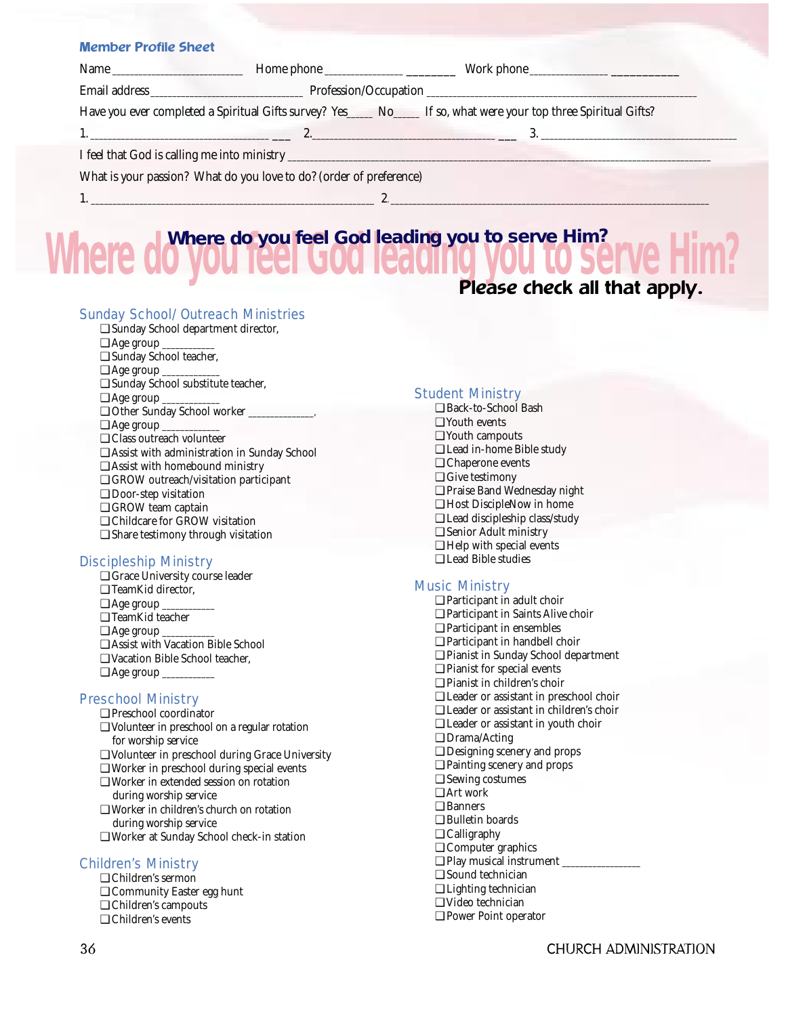| <b>Member Profile Sheet</b>                                                                                      |  |            |
|------------------------------------------------------------------------------------------------------------------|--|------------|
| Name                                                                                                             |  |            |
|                                                                                                                  |  |            |
| Have you ever completed a Spiritual Gifts survey? Yes____ No___ If so, what were your top three Spiritual Gifts? |  |            |
|                                                                                                                  |  | 1. $2.$ 3. |
|                                                                                                                  |  |            |
| What is your passion? What do you love to do? (order of preference)                                              |  |            |
| 1. $\sim$ 2.                                                                                                     |  |            |

# **Where do you feel God leading you to serve Him? Where do you feel God leading you to serve Him?**

# Please check all that apply.

# Sunday School/Outreach Ministries

- ❑ Sunday School department director,
- $\Box$  Age group  $\Box$
- ❑ Sunday School teacher,
- $\Box$  Age group  $\Box$
- ❑ Sunday School substitute teacher,
- $\Box$  Age group  $\Box$
- ❑ Other Sunday School worker \_\_\_\_\_\_\_\_\_\_\_\_\_\_\_,
- $\Box$  Age group  $\Box$
- ❑ Class outreach volunteer
- ❑ Assist with administration in Sunday School
- ❑ Assist with homebound ministry
- ❑ GROW outreach/visitation participant
- ❑ Door-step visitation
- ❑ GROW team captain
- ❑ Childcare for GROW visitation
- ❑ Share testimony through visitation

# Discipleship Ministry

- ❑ Grace University course leader
- ❑ TeamKid director,
- ❑ Age group \_\_\_\_\_\_\_\_\_\_\_\_
- ❑ TeamKid teacher
- ❑ Age group \_\_\_\_\_\_\_\_\_\_\_\_
- ❑ Assist with Vacation Bible School
- ❑ Vacation Bible School teacher,
- $\Box$  Age group  $\Box$

# Preschool Ministry

- ❑ Preschool coordinator
- ❑ Volunteer in preschool on a regular rotation for worship service
- ❑ Volunteer in preschool during Grace University
- ❑ Worker in preschool during special events
- ❑ Worker in extended session on rotation
- during worship service ❑ Worker in children's church on rotation
- during worship service
- ❑ Worker at Sunday School check-in station

# Children's Ministry

- ❑ Children's sermon
- ❑ Community Easter egg hunt
- ❑ Children's campouts
- ❑ Children's events

# Student Ministry

- ❑ Back-to-School Bash
- ❑ Youth events
- ❑ Youth campouts
- ❑ Lead in-home Bible study
- ❑ Chaperone events
- ❑ Give testimony
- ❑ Praise Band Wednesday night
- ❑ Host DiscipleNow in home
- ❑ Lead discipleship class/study
- ❑ Senior Adult ministry ❑ Help with special events
- ❑ Lead Bible studies

# Music Ministry

- ❑ Participant in adult choir
- ❑ Participant in Saints Alive choir
- ❑ Participant in ensembles
- ❑ Participant in handbell choir
- ❑ Pianist in Sunday School department
- ❑ Pianist for special events
- ❑ Pianist in children's choir
- ❑ Leader or assistant in preschool choir
- ❑ Leader or assistant in children's choir
- ❑ Leader or assistant in youth choir
- ❑ Drama/Acting
- ❑ Designing scenery and props
- ❑ Painting scenery and props
- ❑ Sewing costumes
- ❑ Art work
- ❑ Banners
- ❑ Bulletin boards
- ❑ Calligraphy
- ❑ Computer graphics
- $\Box$  Play musical instrument
- ❑ Sound technician
- ❑ Lighting technician
- ❑ Video technician
- ❑ Power Point operator